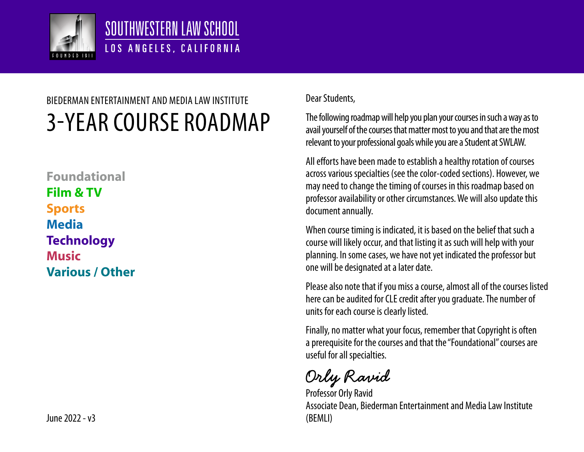

#### SOUTHWESTERN LAW SCHOOL LOS ANGELES, CALIFORNIA

# 3-YEAR COURSE ROADMAP BIEDERMAN ENTERTAINMENT AND MEDIA LAW INSTITUTE

**Foundational Film & TV Sports Media Technology Music Various / Other**

June 2022 - v3 (BEMLI)

#### Dear Students,

The following roadmap will help you plan your courses in such a way as to avail yourself of the courses that matter most to you and that are the most relevant to your professional goals while you are a Student at SWLAW.

All efforts have been made to establish a healthy rotation of courses across various specialties (see the color-coded sections). However, we may need to change the timing of courses in this roadmap based on professor availability or other circumstances. We will also update this document annually.

When course timing is indicated, it is based on the belief that such a course will likely occur, and that listing it as such will help with your planning. In some cases, we have not yet indicated the professor but one will be designated at a later date.

Please also note that if you miss a course, almost all of the courses listed here can be audited for CLE credit after you graduate. The number of units for each course is clearly listed.

Finally, no matter what your focus, remember that Copyright is often a prerequisite for the courses and that the "Foundational" courses are useful for all specialties.

Orly Ravid

Professor Orly Ravid Associate Dean, Biederman Entertainment and Media Law Institute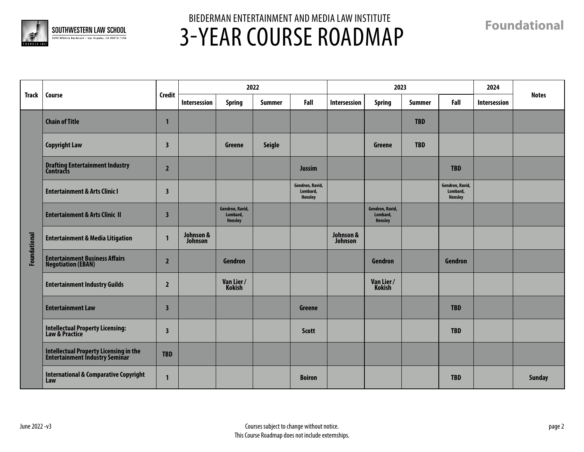

**Foundational**

|                     | Course                                                                   |                         |                      | 2022                                          |               |                                        |                      | 2023                                   |               |                                               | 2024         |               |
|---------------------|--------------------------------------------------------------------------|-------------------------|----------------------|-----------------------------------------------|---------------|----------------------------------------|----------------------|----------------------------------------|---------------|-----------------------------------------------|--------------|---------------|
| <b>Track</b>        |                                                                          | <b>Credit</b>           | Intersession         | <b>Spring</b>                                 | <b>Summer</b> | Fall                                   | Intersession         | <b>Spring</b>                          | <b>Summer</b> | Fall                                          | Intersession | <b>Notes</b>  |
|                     | <b>Chain of Title</b>                                                    | 1                       |                      |                                               |               |                                        |                      |                                        | <b>TBD</b>    |                                               |              |               |
|                     | <b>Copyright Law</b>                                                     | $\overline{\mathbf{3}}$ |                      | Greene                                        | <b>Seigle</b> |                                        |                      | Greene                                 | <b>TBD</b>    |                                               |              |               |
|                     | <b>Drafting Entertainment Industry<br/>Contracts</b>                     | $\overline{2}$          |                      |                                               |               | <b>Jussim</b>                          |                      |                                        |               | <b>TBD</b>                                    |              |               |
|                     | <b>Entertainment &amp; Arts Clinic I</b>                                 | $\overline{\mathbf{3}}$ |                      |                                               |               | Gendron, Ravid,<br>Lombard,<br>Hensley |                      |                                        |               | Gendron, Ravid,<br>Lombard,<br><b>Hensley</b> |              |               |
|                     | <b>Entertainment &amp; Arts Clinic II</b>                                | $\overline{\mathbf{3}}$ |                      | Gendron, Ravid,<br>Lombard,<br><b>Hensley</b> |               |                                        |                      | Gendron, Ravid,<br>Lombard,<br>Hensley |               |                                               |              |               |
| <b>Foundational</b> | <b>Entertainment &amp; Media Litigation</b>                              | $\mathbf{1}$            | Johnson &<br>Johnson |                                               |               |                                        | Johnson &<br>Johnson |                                        |               |                                               |              |               |
|                     | <b>Entertainment Business Affairs</b><br><b>Negotiation (EBAN)</b>       | $\overline{2}$          |                      | Gendron                                       |               |                                        |                      | Gendron                                |               | Gendron                                       |              |               |
|                     | <b>Entertainment Industry Guilds</b>                                     | $\overline{2}$          |                      | Van Lier /<br>Kokish                          |               |                                        |                      | Van Lier /<br>Kokish                   |               |                                               |              |               |
|                     | <b>Entertainment Law</b>                                                 | $\overline{\mathbf{3}}$ |                      |                                               |               | Greene                                 |                      |                                        |               | <b>TBD</b>                                    |              |               |
|                     | Intellectual Property Licensing:<br>Law & Practice                       | $\overline{\mathbf{3}}$ |                      |                                               |               | <b>Scott</b>                           |                      |                                        |               | <b>TBD</b>                                    |              |               |
|                     | Intellectual Property Licensing in the<br>Entertainment Industry Seminar | <b>TBD</b>              |                      |                                               |               |                                        |                      |                                        |               |                                               |              |               |
|                     | <b>International &amp; Comparative Copyright</b><br>Law                  | $\mathbf{1}$            |                      |                                               |               | <b>Boiron</b>                          |                      |                                        |               | <b>TBD</b>                                    |              | <b>Sunday</b> |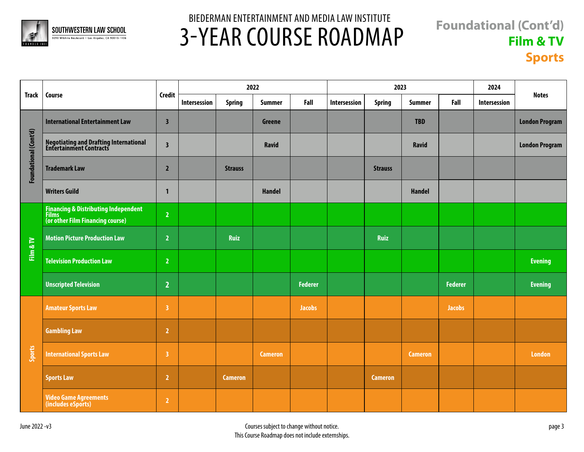

#### **Foundational (Cont'd) Film & TV Sports**

|                       | Course                                                                              |                         |              | 2022           |                |                | 2023         |                |                |                | 2024         |                       |
|-----------------------|-------------------------------------------------------------------------------------|-------------------------|--------------|----------------|----------------|----------------|--------------|----------------|----------------|----------------|--------------|-----------------------|
| <b>Track</b>          |                                                                                     | <b>Credit</b>           | Intersession | <b>Spring</b>  | <b>Summer</b>  | Fall           | Intersession | <b>Spring</b>  | <b>Summer</b>  | Fall           | Intersession | <b>Notes</b>          |
| Foundational (Cont'd) | <b>International Entertainment Law</b>                                              | $\overline{\mathbf{3}}$ |              |                | Greene         |                |              |                | <b>TBD</b>     |                |              | <b>London Program</b> |
|                       | Negotiating and Drafting International<br>Entertainment Contracts                   | $\overline{\mathbf{3}}$ |              |                | <b>Ravid</b>   |                |              |                | <b>Ravid</b>   |                |              | <b>London Program</b> |
|                       | <b>Trademark Law</b>                                                                | $\overline{2}$          |              | <b>Strauss</b> |                |                |              | <b>Strauss</b> |                |                |              |                       |
|                       | <b>Writers Guild</b>                                                                | $\mathbf 1$             |              |                | <b>Handel</b>  |                |              |                | <b>Handel</b>  |                |              |                       |
|                       | <b>Financing &amp; Distributing Independent</b><br>(or other Film Financing course) | $\overline{2}$          |              |                |                |                |              |                |                |                |              |                       |
| Film & TV             | <b>Motion Picture Production Law</b>                                                | $\overline{2}$          |              | <b>Ruiz</b>    |                |                |              | <b>Ruiz</b>    |                |                |              |                       |
|                       | <b>Television Production Law</b>                                                    | $\overline{2}$          |              |                |                |                |              |                |                |                |              | <b>Evening</b>        |
|                       | <b>Unscripted Television</b>                                                        | $\overline{2}$          |              |                |                | <b>Federer</b> |              |                |                | <b>Federer</b> |              | <b>Evening</b>        |
|                       | <b>Amateur Sports Law</b>                                                           | $\overline{\mathbf{3}}$ |              |                |                | <b>Jacobs</b>  |              |                |                | <b>Jacobs</b>  |              |                       |
|                       | <b>Gambling Law</b>                                                                 | $\overline{2}$          |              |                |                |                |              |                |                |                |              |                       |
| Sports                | <b>International Sports Law</b>                                                     | $\overline{\mathbf{3}}$ |              |                | <b>Cameron</b> |                |              |                | <b>Cameron</b> |                |              | <b>London</b>         |
|                       | <b>Sports Law</b>                                                                   | $\overline{2}$          |              | <b>Cameron</b> |                |                |              | <b>Cameron</b> |                |                |              |                       |
|                       | <b>Video Game Agreements</b><br>(includes eSports)                                  | $\overline{2}$          |              |                |                |                |              |                |                |                |              |                       |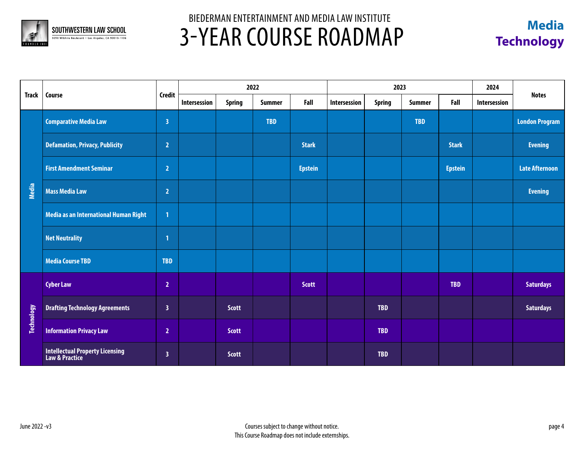



|                   | Course                                            |                         |              |               | 2022          |                |              | 2023          | 2024          |                |                     |                       |
|-------------------|---------------------------------------------------|-------------------------|--------------|---------------|---------------|----------------|--------------|---------------|---------------|----------------|---------------------|-----------------------|
| <b>Track</b>      |                                                   | <b>Credit</b>           | Intersession | <b>Spring</b> | <b>Summer</b> | Fall           | Intersession | <b>Spring</b> | <b>Summer</b> | Fall           | <b>Intersession</b> | <b>Notes</b>          |
|                   | <b>Comparative Media Law</b>                      | $\overline{\mathbf{3}}$ |              |               | <b>TBD</b>    |                |              |               | <b>TBD</b>    |                |                     | <b>London Program</b> |
|                   | <b>Defamation, Privacy, Publicity</b>             | 2                       |              |               |               | <b>Stark</b>   |              |               |               | <b>Stark</b>   |                     | <b>Evening</b>        |
|                   | <b>First Amendment Seminar</b>                    | $\overline{2}$          |              |               |               | <b>Epstein</b> |              |               |               | <b>Epstein</b> |                     | <b>Late Afternoon</b> |
| Media             | <b>Mass Media Law</b>                             | $\overline{2}$          |              |               |               |                |              |               |               |                |                     | <b>Evening</b>        |
|                   | Media as an International Human Right             | 1                       |              |               |               |                |              |               |               |                |                     |                       |
|                   | <b>Net Neutrality</b>                             | $\mathbf{1}$            |              |               |               |                |              |               |               |                |                     |                       |
|                   | <b>Media Course TBD</b>                           | <b>TBD</b>              |              |               |               |                |              |               |               |                |                     |                       |
|                   | <b>Cyber Law</b>                                  | $\overline{2}$          |              |               |               | <b>Scott</b>   |              |               |               | <b>TBD</b>     |                     | <b>Saturdays</b>      |
| <b>Technology</b> | <b>Drafting Technology Agreements</b>             | $\overline{\mathbf{3}}$ |              | <b>Scott</b>  |               |                |              | <b>TBD</b>    |               |                |                     | <b>Saturdays</b>      |
|                   | <b>Information Privacy Law</b>                    | $\overline{2}$          |              | <b>Scott</b>  |               |                |              | <b>TBD</b>    |               |                |                     |                       |
|                   | Intellectual Property Licensing<br>Law & Practice | $\overline{\mathbf{3}}$ |              | <b>Scott</b>  |               |                |              | <b>TBD</b>    |               |                |                     |                       |